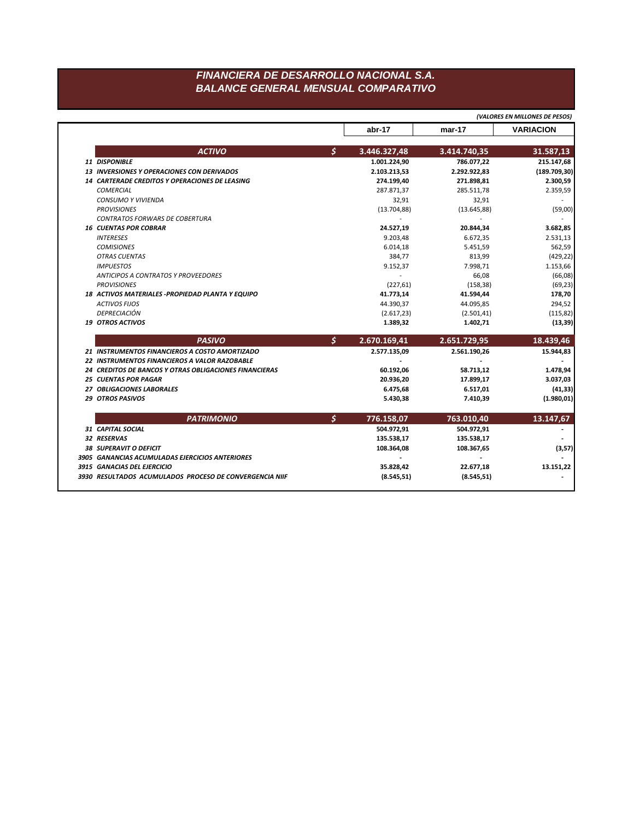## FINANCIERA DE DESARROLLO NACIONAL S.A. **BALANCE GENERAL MENSUAL COMPARATIVO**

|                                                               |                    | (VALORES EN MILLONES DE PESOS) |                  |
|---------------------------------------------------------------|--------------------|--------------------------------|------------------|
|                                                               | abr-17             | mar-17                         | <b>VARIACION</b> |
| <b>ACTIVO</b>                                                 | \$<br>3.446.327,48 | 3.414.740,35                   | 31.587,13        |
| 11 DISPONIBLE                                                 | 1.001.224,90       | 786.077,22                     | 215.147,68       |
| <b>13 INVERSIONES Y OPERACIONES CON DERIVADOS</b>             | 2.103.213,53       | 2.292.922,83                   | (189.709, 30)    |
| 14 CARTERADE CREDITOS Y OPERACIONES DE LEASING                | 274.199,40         | 271.898,81                     | 2.300,59         |
| <b>COMERCIAL</b>                                              | 287.871,37         | 285.511,78                     | 2.359,59         |
| <b>CONSUMO Y VIVIENDA</b>                                     | 32,91              | 32,91                          |                  |
| <b>PROVISIONES</b>                                            | (13.704, 88)       | (13.645, 88)                   | (59,00)          |
| <b>CONTRATOS FORWARS DE COBERTURA</b>                         |                    |                                |                  |
| <b>16 CUENTAS POR COBRAR</b>                                  | 24.527,19          | 20.844,34                      | 3.682,85         |
| <b>INTERESES</b>                                              | 9.203,48           | 6.672,35                       | 2.531,13         |
| <b>COMISIONES</b>                                             | 6.014,18           | 5.451,59                       | 562,59           |
| <b>OTRAS CUENTAS</b>                                          | 384,77             | 813,99                         | (429, 22)        |
| <b>IMPUESTOS</b>                                              | 9.152,37           | 7.998,71                       | 1.153,66         |
| <b>ANTICIPOS A CONTRATOS Y PROVEEDORES</b>                    | $\mathbf{r}$       | 66,08                          | (66,08)          |
| <b>PROVISIONES</b>                                            | (227, 61)          | (158, 38)                      | (69, 23)         |
| 18 ACTIVOS MATERIALES - PROPIEDAD PLANTA Y EQUIPO             | 41.773,14          | 41.594,44                      | 178,70           |
| <b>ACTIVOS FIJOS</b>                                          | 44.390,37          | 44.095,85                      | 294,52           |
| DEPRECIACIÓN                                                  | (2.617, 23)        | (2.501, 41)                    | (115, 82)        |
| <b>19 OTROS ACTIVOS</b>                                       | 1.389,32           | 1.402,71                       | (13, 39)         |
| <b>PASIVO</b>                                                 | \$<br>2.670.169,41 | 2.651.729,95                   | 18.439,46        |
| 21 INSTRUMENTOS FINANCIEROS A COSTO AMORTIZADO                | 2.577.135,09       | 2.561.190,26                   | 15.944,83        |
| 22 INSTRUMENTOS FINANCIEROS A VALOR RAZOBABLE                 |                    |                                |                  |
| <b>24 CREDITOS DE BANCOS Y OTRAS OBLIGACIONES FINANCIERAS</b> | 60.192,06          | 58.713,12                      | 1.478,94         |
| <b>25 CUENTAS POR PAGAR</b>                                   | 20.936,20          | 17.899,17                      | 3.037,03         |
| 27 OBLIGACIONES LABORALES                                     | 6.475,68           | 6.517,01                       | (41, 33)         |
| 29 OTROS PASIVOS                                              | 5.430,38           | 7.410,39                       | (1.980, 01)      |
| <b>PATRIMONIO</b>                                             | \$<br>776.158,07   | 763.010,40                     | 13.147,67        |
| 31 CAPITAL SOCIAL                                             | 504.972,91         | 504.972,91                     |                  |
| 32 RESERVAS                                                   | 135.538,17         | 135.538,17                     |                  |
| <b>38 SUPERAVIT O DEFICIT</b>                                 | 108.364,08         | 108.367,65                     | (3, 57)          |
| 3905 GANANCIAS ACUMULADAS EJERCICIOS ANTERIORES               |                    |                                |                  |
| 3915 GANACIAS DEL EJERCICIO                                   | 35.828,42          | 22.677,18                      | 13.151,22        |
| 3930 RESULTADOS ACUMULADOS PROCESO DE CONVERGENCIA NIIF       | (8.545, 51)        | (8.545, 51)                    |                  |
|                                                               |                    |                                |                  |